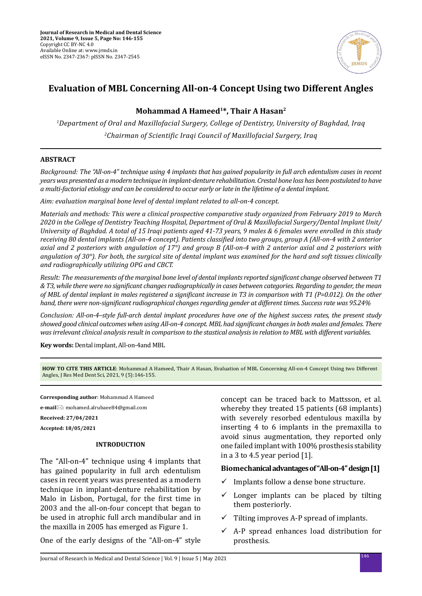

# **Evaluation of MBL Concerning All-on-4 Concept Using two Different Angles**

## **Mohammad A Hameed1\*, Thair A Hasan2**

*1 Department of Oral and Maxillofacial Surgery, College of Dentistry, University of Baghdad, Iraq 2 Chairman of Scientific Iraqi Council of Maxillofacial Surgery, Iraq*

## **ABSTRACT**

*Background: The "All-on-4" technique using 4 implants that has gained popularity in full arch edentulism cases in recent years was presented as a modern technique in implant-denture rehabilitation. Crestal bone loss has been postulated to have a multi-factorial etiology and can be considered to occur early or late in the lifetime of a dental implant.*

*Aim: evaluation marginal bone level of dental implant related to all-on-4 concept.*

*Materials and methods: This were a clinical prospective comparative study organized from February 2019 to March 2020 in the College of Dentistry Teaching Hospital, Department of Oral & Maxillofacial Surgery/Dental Implant Unit/ University of Baghdad. A total of 15 Iraqi patients aged 41-73 years, 9 males & 6 females were enrolled in this study receiving 80 dental implants (All-on-4 concept). Patients classified into two groups, group A (All-on-4 with 2 anterior axial and 2 posteriors with angulation of 17°) and group B (All-on-4 with 2 anterior axial and 2 posteriors with angulation of 30°). For both, the surgical site of dental implant was examined for the hard and soft tissues clinically and radiographically utilizing OPG and CBCT.*

*Result: The measurements of the marginal bone level of dental implants reported significant change observed between T1 & T3, while there were no significant changes radiographically in cases between categories. Regarding to gender, the mean of MBL of dental implant in males registered a significant increase in T3 in comparison with T1 (P=0.012). On the other hand, there were non-significant radiographical changes regarding gender at different times. Success rate was 95.24%*

*Conclusion: All-on-4–style full-arch dental implant procedures have one of the highest success rates, the present study showed good clinical outcomes when using All-on-4 concept. MBL had significant changes in both males and females. There was irrelevant clinical analysis result in comparison to the stastical analysis in relation to MBL with different variables.*

**Key words:** Dental implant, All-on-4and MBL

**HOW TO CITE THIS ARTICLE**: Mohammad A Hameed, Thair A Hasan, Evaluation of MBL Concerning All-on-4 Concept Using two Different Angles, J Res Med Dent Sci, 2021, 9 (5):146-155.

**Corresponding author**: Mohammad A Hameed

**e-mail**: mohamed.alrubaee84@gmail.com

**Received: 27/04/2021**

**Accepted: 18/05/2021**

### **INTRODUCTION**

The "All-on-4" technique using 4 implants that has gained popularity in full arch edentulism cases in recent years was presented as a modern technique in implant-denture rehabilitation by Malo in Lisbon, Portugal, for the first time in 2003 and the all-on-four concept that began to be used in atrophic full arch mandibular and in the maxilla in 2005 has emerged as Figure 1.

One of the early designs of the "All-on-4" style

concept can be traced back to Mattsson, et al. whereby they treated 15 patients (68 implants) with severely resorbed edentulous maxilla by inserting 4 to 6 implants in the premaxilla to avoid sinus augmentation, they reported only one failed implant with 100% prosthesis stability in a 3 to 4.5 year period [1].

## **Biomechanical advantages of "All-on-4" design [1]**

- $\checkmark$  Implants follow a dense bone structure.
- Longer implants can be placed by tilting them posteriorly.
- $\checkmark$  Tilting improves A-P spread of implants.
- $\checkmark$  A-P spread enhances load distribution for prosthesis.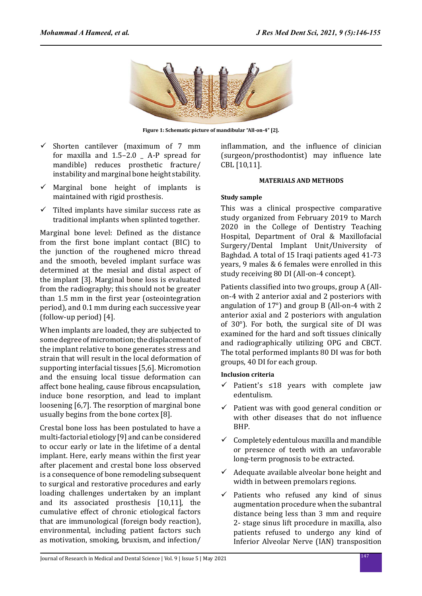

**Figure 1: Schematic picture of mandibular "All-on-4" [2].**

- $\checkmark$  Shorten cantilever (maximum of 7 mm for maxilla and 1.5–2.0 \_ A-P spread for mandible) reduces prosthetic fracture/ instability and marginal bone height stability.
- $\checkmark$  Marginal bone height of implants is maintained with rigid prosthesis.
- $\checkmark$  Tilted implants have similar success rate as traditional implants when splinted together.

Marginal bone level: Defined as the distance from the first bone implant contact (BIC) to the junction of the roughened micro thread and the smooth, beveled implant surface was determined at the mesial and distal aspect of the implant [3]. Marginal bone loss is evaluated from the radiography; this should not be greater than 1.5 mm in the first year (osteointegration period), and 0.1 mm during each successive year (follow-up period) [4].

When implants are loaded, they are subjected to some degree of micromotion; the displacement of the implant relative to bone generates stress and strain that will result in the local deformation of supporting interfacial tissues [5,6]. Micromotion and the ensuing local tissue deformation can affect bone healing, cause fibrous encapsulation, induce bone resorption, and lead to implant loosening [6,7]. The resorption of marginal bone usually begins from the bone cortex [8].

Crestal bone loss has been postulated to have a multi-factorial etiology [9] and can be considered to occur early or late in the lifetime of a dental implant. Here, early means within the first year after placement and crestal bone loss observed is a consequence of bone remodeling subsequent to surgical and restorative procedures and early loading challenges undertaken by an implant and its associated prosthesis [10,11], the cumulative effect of chronic etiological factors that are immunological (foreign body reaction), environmental, including patient factors such as motivation, smoking, bruxism, and infection/ inflammation, and the influence of clinician (surgeon/prosthodontist) may influence late CBL [10,11].

#### **MATERIALS AND METHODS**

### **Study sample**

This was a clinical prospective comparative study organized from February 2019 to March 2020 in the College of Dentistry Teaching Hospital, Department of Oral & Maxillofacial Surgery/Dental Implant Unit/University of Baghdad. A total of 15 Iraqi patients aged 41-73 years, 9 males & 6 females were enrolled in this study receiving 80 DI (All-on-4 concept).

Patients classified into two groups, group A (Allon-4 with 2 anterior axial and 2 posteriors with angulation of 17°) and group B (All-on-4 with 2 anterior axial and 2 posteriors with angulation of 30°). For both, the surgical site of DI was examined for the hard and soft tissues clinically and radiographically utilizing OPG and CBCT. The total performed implants 80 DI was for both groups, 40 DI for each group.

### **Inclusion criteria**

- $\checkmark$  Patient's ≤18 years with complete jaw edentulism.
- $\checkmark$  Patient was with good general condition or with other diseases that do not influence BHP.
- $\checkmark$  Completely edentulous maxilla and mandible or presence of teeth with an unfavorable long-term prognosis to be extracted.
- $\checkmark$  Adequate available alveolar bone height and width in between premolars regions.
- $\checkmark$  Patients who refused any kind of sinus augmentation procedure when the subantral distance being less than 3 mm and require 2- stage sinus lift procedure in maxilla, also patients refused to undergo any kind of Inferior Alveolar Nerve (IAN) transposition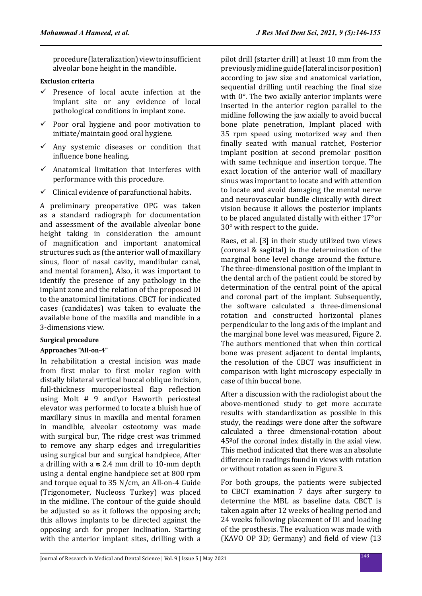procedure (lateralization) view to insufficient alveolar bone height in the mandible.

## **Exclusion criteria**

- $\checkmark$  Presence of local acute infection at the implant site or any evidence of local pathological conditions in implant zone.
- $\checkmark$  Poor oral hygiene and poor motivation to initiate/maintain good oral hygiene.
- $\checkmark$  Any systemic diseases or condition that influence bone healing.
- $\checkmark$  Anatomical limitation that interferes with performance with this procedure.
- $\checkmark$  Clinical evidence of parafunctional habits.

A preliminary preoperative OPG was taken as a standard radiograph for documentation and assessment of the available alveolar bone height taking in consideration the amount of magnification and important anatomical structures such as (the anterior wall of maxillary sinus, floor of nasal cavity, mandibular canal, and mental foramen), Also, it was important to identify the presence of any pathology in the implant zone and the relation of the proposed DI to the anatomical limitations. CBCT for indicated cases (candidates) was taken to evaluate the available bone of the maxilla and mandible in a 3-dimensions view.

### **Surgical procedure**

### **Approaches "All-on-4"**

In rehabilitation a crestal incision was made from first molar to first molar region with distally bilateral vertical buccal oblique incision, full-thickness mucoperiosteal flap reflection using Molt # 9 and\or Haworth periosteal elevator was performed to locate a bluish hue of maxillary sinus in maxilla and mental foramen in mandible, alveolar osteotomy was made with surgical bur, The ridge crest was trimmed to remove any sharp edges and irregularities using surgical bur and surgical handpiece, After a drilling with  $a \approx 2.4$  mm drill to 10-mm depth using a dental engine handpiece set at 800 rpm and torque equal to 35 N/cm, an All-on-4 Guide (Trigonometer, Nucleoss Turkey) was placed in the midline. The contour of the guide should be adjusted so as it follows the opposing arch; this allows implants to be directed against the opposing arch for proper inclination. Starting with the anterior implant sites, drilling with a pilot drill (starter drill) at least 10 mm from the previously midline guide (lateral incisor position) according to jaw size and anatomical variation, sequential drilling until reaching the final size with  $0^\circ$ . The two axially anterior implants were inserted in the anterior region parallel to the midline following the jaw axially to avoid buccal bone plate penetration, Implant placed with 35 rpm speed using motorized way and then finally seated with manual ratchet, Posterior implant position at second premolar position with same technique and insertion torque. The exact location of the anterior wall of maxillary sinus was important to locate and with attention to locate and avoid damaging the mental nerve and neurovascular bundle clinically with direct vision because it allows the posterior implants to be placed angulated distally with either 17°or 30° with respect to the guide.

Raes, et al. [3] in their study utilized two views (coronal & sagittal) in the determination of the marginal bone level change around the fixture. The three-dimensional position of the implant in the dental arch of the patient could be stored by determination of the central point of the apical and coronal part of the implant. Subsequently, the software calculated a three-dimensional rotation and constructed horizontal planes perpendicular to the long axis of the implant and the marginal bone level was measured, Figure 2. The authors mentioned that when thin cortical bone was present adjacent to dental implants, the resolution of the CBCT was insufficient in comparison with light microscopy especially in case of thin buccal bone.

After a discussion with the radiologist about the above-mentioned study to get more accurate results with standardization as possible in this study, the readings were done after the software calculated a three dimensional-rotation about 45ºof the coronal index distally in the axial view. This method indicated that there was an absolute difference in readings found in views with rotation or without rotation as seen in Figure 3.

For both groups, the patients were subjected to CBCT examination 7 days after surgery to determine the MBL as baseline data. CBCT is taken again after 12 weeks of healing period and 24 weeks following placement of DI and loading of the prosthesis. The evaluation was made with (KAVO OP 3D; Germany) and field of view (13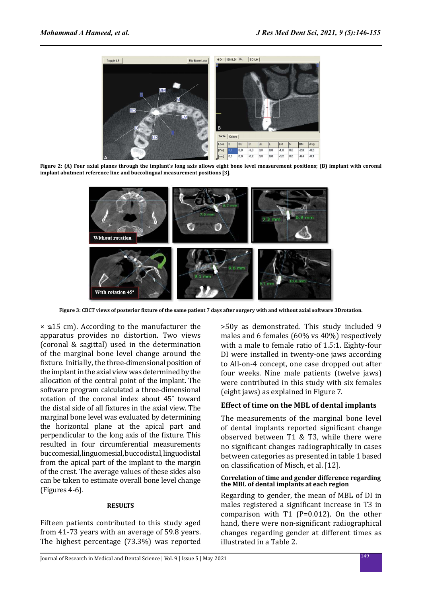

**Figure 2: (A) Four axial planes through the implant's long axis allows eight bone level measurement positions; (B) implant with coronal implant abutment reference line and buccolingual measurement positions [3].** 



**Figure 3: CBCT views of posterior fixture of the same patient 7 days after surgery with and without axial software 3Drotation.**

 $\times$   $\le$  15 cm). According to the manufacturer the apparatus provides no distortion. Two views (coronal & sagittal) used in the determination of the marginal bone level change around the fixture. Initially, the three-dimensional position of the implant in the axial view was determined by the allocation of the central point of the implant. The software program calculated a three-dimensional rotation of the coronal index about 45˚ toward the distal side of all fixtures in the axial view. The marginal bone level was evaluated by determining the horizontal plane at the apical part and perpendicular to the long axis of the fixture. This resulted in four circumferential measurements buccomesial, linguomesial, buccodistal, linguodistal from the apical part of the implant to the margin of the crest. The average values of these sides also can be taken to estimate overall bone level change (Figures 4-6).

#### **RESULTS**

Fifteen patients contributed to this study aged from 41-73 years with an average of 59.8 years. The highest percentage (73.3%) was reported >50y as demonstrated. This study included 9 males and 6 females (60% vs 40%) respectively with a male to female ratio of 1.5:1. Eighty-four DI were installed in twenty-one jaws according to All-on-4 concept, one case dropped out after four weeks. Nine male patients (twelve jaws) were contributed in this study with six females (eight jaws) as explained in Figure 7.

### **Effect of time on the MBL of dental implants**

The measurements of the marginal bone level of dental implants reported significant change observed between T1 & T3, while there were no significant changes radiographically in cases between categories as presented in table 1 based on classification of Misch, et al. [12].

#### **Correlation of time and gender difference regarding the MBL of dental implants at each region**

Regarding to gender, the mean of MBL of DI in males registered a significant increase in T3 in comparison with T1 (P=0.012). On the other hand, there were non-significant radiographical changes regarding gender at different times as illustrated in a Table 2.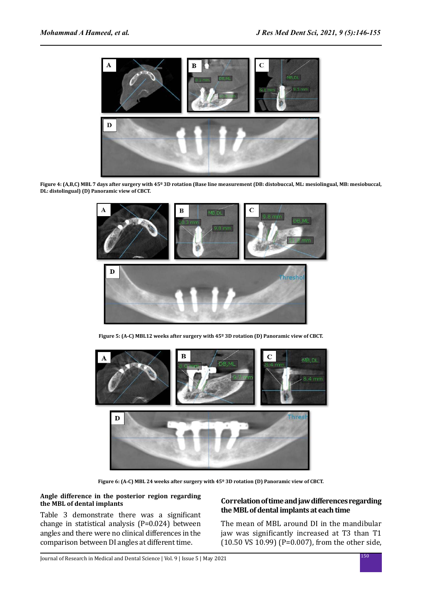

**Figure 4: (A,B,C) MBL 7 days after surgery with 45º 3D rotation (Base line measurement (DB: distobuccal, ML: mesiolingual, MB: mesiobuccal, DL: distolingual) (D) Panoramic view of CBCT.**



**Figure 5: (A-C) MBL12 weeks after surgery with 45º 3D rotation (D) Panoramic view of CBCT.**



**Figure 6: (A-C) MBL 24 weeks after surgery with 45º 3D rotation (D) Panoramic view of CBCT.**

#### **Angle difference in the posterior region regarding the MBL of dental implants**

Table 3 demonstrate there was a significant change in statistical analysis (P=0.024) between angles and there were no clinical differences in the comparison between DI angles at different time.

## **Correlation of time and jaw differences regarding the MBL of dental implants at each time**

The mean of MBL around DI in the mandibular jaw was significantly increased at T3 than T1 (10.50 VS 10.99) (P=0.007), from the other side,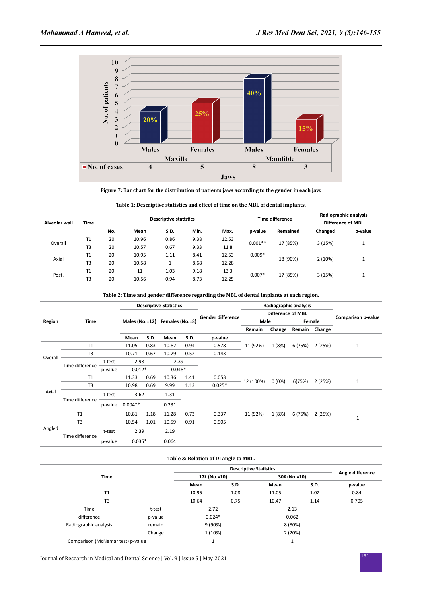

**Figure 7: Bar chart for the distribution of patients jaws according to the gender in each jaw.**

|               | Time           | <b>Descriptive statistics</b> |       |          |      |       |           | <b>Time difference</b> | Radiographic analysis |         |  |
|---------------|----------------|-------------------------------|-------|----------|------|-------|-----------|------------------------|-----------------------|---------|--|
| Alveolar wall |                |                               |       |          |      |       |           |                        | Difference of MBL     |         |  |
|               |                | No.                           | Mean  | S.D.     | Min. | Max.  | p-value   | Remained               | Changed               | p-value |  |
|               | T1             | 20                            | 10.96 | 0.86     | 9.38 | 12.53 | $0.001**$ | 17 (85%)               |                       |         |  |
| Overall       | T <sub>3</sub> | 20                            | 10.57 | 0.67     | 9.33 | 11.8  |           |                        | 3(15%)                |         |  |
| Axial         | T1             | 20                            | 10.95 | 1.11     | 8.41 | 12.53 | $0.009*$  |                        |                       |         |  |
|               | T <sub>3</sub> | 20                            | 10.58 | <b>T</b> | 8.68 | 12.28 |           | 18 (90%)               | 2(10%)                |         |  |
|               | T1             | 20                            | 11    | 1.03     | 9.18 | 13.3  |           |                        |                       |         |  |
| Post.         | T <sub>3</sub> | 20                            | 10.56 | 0.94     | 8.73 | 12.25 | $0.007*$  | 17 (85%)               | 3(15%)                |         |  |

**Table 1: Descriptive statistics and effect of time on the MBL of dental implants.**

| Table 2: Time and gender difference regarding the MBL of dental implants at each region. |  |
|------------------------------------------------------------------------------------------|--|
|                                                                                          |  |

|         |                 |         |                |      | <b>Descriptive Statistics</b> |             |                          |                       | Radiographic analysis    |         |               |                    |
|---------|-----------------|---------|----------------|------|-------------------------------|-------------|--------------------------|-----------------------|--------------------------|---------|---------------|--------------------|
|         |                 |         |                |      |                               |             |                          |                       | <b>Difference of MBL</b> |         |               |                    |
| Region  | Time            |         | Males (No.=12) |      | Females (No.=8)               |             | <b>Gender difference</b> | Male                  |                          | Female  |               | Comparison p-value |
|         |                 |         |                |      |                               |             |                          | Remain                | Change                   |         | Remain Change |                    |
|         |                 |         | Mean           | S.D. | Mean                          | <b>S.D.</b> | p-value                  |                       |                          |         |               |                    |
| Overall | T1              |         | 11.05          | 0.83 | 10.82                         | 0.94        | 0.578                    | 11 (92%)              | 1(8%)                    | 6 (75%) | 2 (25%)       | $\mathbf{1}$       |
|         | T <sub>3</sub>  |         | 10.71          | 0.67 | 10.29                         | 0.52        | 0.143                    |                       |                          |         |               |                    |
|         | Time difference | t-test  | 2.98<br>2.39   |      |                               |             |                          |                       |                          |         |               |                    |
|         |                 | p-value | $0.012*$       |      | $0.048*$                      |             |                          |                       |                          |         |               |                    |
|         | T1              |         | 11.33          | 0.69 | 10.36                         | 1.41        | 0.053                    | $0(0\%)$<br>12 (100%) |                          | 6(75%)  | 2 (25%)       |                    |
|         | T <sub>3</sub>  |         | 10.98          | 0.69 | 9.99                          | 1.13        | $0.025*$                 |                       |                          |         |               | $\mathbf{1}$       |
| Axial   |                 | t-test  | 3.62           |      | 1.31                          |             |                          |                       |                          |         |               |                    |
|         | Time difference | p-value | $0.004**$      |      | 0.231                         |             |                          |                       |                          |         |               |                    |
|         | T1              |         | 10.81          | 1.18 | 11.28                         | 0.73        | 0.337                    | 11 (92%)              | 1 (8%)                   | 6 (75%) | 2(25%)        |                    |
| Angled  | T <sub>3</sub>  |         | 10.54          | 1.01 | 10.59                         | 0.91        | 0.905                    |                       |                          |         |               | $\mathbf{1}$       |
|         | Time difference | t-test  | 2.39           |      | 2.19                          |             |                          |                       |                          |         |               |                    |
|         |                 | p-value | $0.035*$       |      | 0.064                         |             |                          |                       |                          |         |               |                    |

#### **Table 3: Relation of DI angle to MBL.**

|                                   |              |          | Angle difference |              |      |         |
|-----------------------------------|--------------|----------|------------------|--------------|------|---------|
| <b>Time</b>                       | 17º (No.=10) |          |                  | 30º (No.=10) |      |         |
|                                   |              | Mean     | S.D.             | Mean         | S.D. | p-value |
| T1                                |              | 10.95    | 1.08             | 11.05        | 1.02 | 0.84    |
| T <sub>3</sub>                    |              | 10.64    | 0.75             | 10.47        | 1.14 | 0.705   |
| Time                              | t-test       | 2.72     |                  | 2.13         |      |         |
| difference                        | p-value      | $0.024*$ |                  | 0.062        |      |         |
| Radiographic analysis             | remain       | 9 (90%)  |                  | 8 (80%)      |      |         |
|                                   | Change       | 1(10%)   |                  | 2(20%)       |      |         |
| Comparison (McNemar test) p-value |              |          |                  |              |      |         |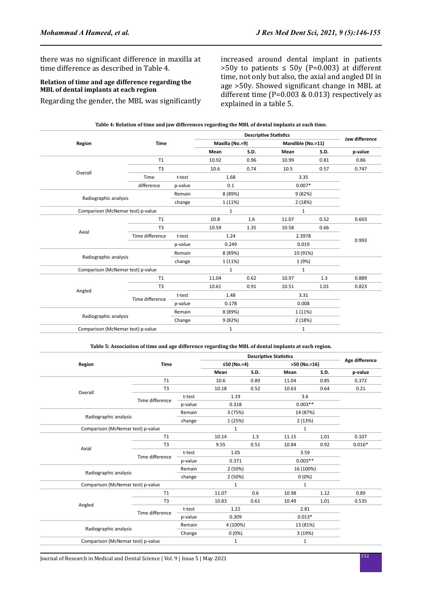there was no significant difference in maxilla at time difference as described in Table 4.

## **Relation of time and age difference regarding the MBL of dental implants at each region**

Regarding the gender, the MBL was significantly

increased around dental implant in patients  $>50y$  to patients  $\leq 50y$  (P=0.003) at different time, not only but also, the axial and angled DI in age >50y. Showed significant change in MBL at different time  $(P=0.003 \& 0.013)$  respectively as explained in a table 5.

| Table 4: Relation of time and jaw differences regarding the MBL of dental implants at each time. |  |  |
|--------------------------------------------------------------------------------------------------|--|--|
|--------------------------------------------------------------------------------------------------|--|--|

|                                   |                 |              |                 | Jaw difference |                   |      |         |
|-----------------------------------|-----------------|--------------|-----------------|----------------|-------------------|------|---------|
| Region                            | <b>Time</b>     |              | Maxilla (No.=9) |                | Mandible (No.=11) |      |         |
|                                   |                 |              | Mean            | <b>S.D.</b>    | Mean              | S.D. | p-value |
|                                   | T1              |              | 10.92           | 0.96           | 10.99             | 0.81 | 0.86    |
|                                   | T <sub>3</sub>  |              | 10.6            | 0.74           | 10.5              | 0.57 | 0.747   |
| Overall                           | Time            | t-test       | 1.68            |                | 3.35              |      |         |
|                                   | difference      | p-value      | 0.1             |                | $0.007*$          |      |         |
|                                   |                 | Remain       | 8 (89%)         |                | 9 (82%)           |      |         |
| Radiographic analysis             | change          |              | 1 (11%)         |                | 2(18%)            |      |         |
| Comparison (McNemar test) p-value |                 |              | $\mathbf{1}$    |                | $\mathbf{1}$      |      |         |
|                                   | T1              |              | 10.8            | 1.6            | 11.07             | 0.52 | 0.603   |
|                                   | T <sub>3</sub>  |              | 10.59           | 1.35           | 10.58             | 0.66 |         |
| Axial                             | Time difference | t-test       | 1.24            |                | 2.3978            |      | 0.993   |
|                                   |                 | p-value      | 0.249           |                | 0.019             |      |         |
|                                   |                 | Remain       | 8 (89%)         |                | 10 (91%)          |      |         |
| Radiographic analysis             |                 | change       | 1 (11%)         |                | 1 (9%)            |      |         |
| Comparison (McNemar test) p-value |                 |              | $\mathbf{1}$    |                | $\mathbf{1}$      |      |         |
|                                   | T1              |              | 11.04           | 0.62           | 10.97             | 1.3  | 0.889   |
|                                   | T <sub>3</sub>  |              | 10.61           | 0.91           | 10.51             | 1.01 | 0.823   |
| Angled                            |                 | t-test       | 1.48            |                | 3.31              |      |         |
|                                   | Time difference | p-value      | 0.178           |                | 0.008             |      |         |
| Radiographic analysis             |                 | Remain       | 8 (89%)         |                | 1 (11%)           |      |         |
|                                   |                 | Change       | 9(82%)          |                | 2(18%)            |      |         |
| Comparison (McNemar test) p-value |                 | $\mathbf{1}$ |                 | $\mathbf{1}$   |                   |      |         |

**Table 5: Association of time and age difference regarding the MBL of dental implants at each region.**

| Region                            | <b>Time</b>                       |         | ≤50 (No.=4)  |                   | >50 (No.=16) |      | Age difference |
|-----------------------------------|-----------------------------------|---------|--------------|-------------------|--------------|------|----------------|
|                                   |                                   |         | Mean         | S.D.              | Mean         | S.D. | p-value        |
|                                   | T1                                |         | 10.6         | 0.89              | 11.04        | 0.85 | 0.372          |
|                                   | T <sub>3</sub>                    |         | 10.18        | 0.52              | 10.63        | 0.64 | 0.21           |
| Overall                           | Time difference                   | t-test  | 1.19         |                   | 3.6          |      |                |
|                                   |                                   | p-value | 0.318        |                   | $0.003**$    |      |                |
|                                   |                                   |         |              | 3(75%)            | 14 (87%)     |      |                |
| Radiographic analysis             |                                   | change  | 1 (25%)      |                   | 2(13%)       |      |                |
|                                   | Comparison (McNemar test) p-value |         |              | $\mathbf{1}$<br>1 |              |      |                |
|                                   | T1                                |         | 10.14        | 1.3               | 11.15        | 1.01 | 0.107          |
|                                   | T <sub>3</sub>                    |         | 9.55         | 0.51              | 10.84        | 0.92 | $0.016*$       |
| Axial                             |                                   | t-test  | 1.05         |                   | 3.59         |      |                |
|                                   | Time difference                   | p-value | 0.371        |                   | $0.003**$    |      |                |
|                                   |                                   | Remain  | 2(50%)       |                   | 16 (100%)    |      |                |
| Radiographic analysis             |                                   | change  | 2(50%)       |                   | $0(0\%)$     |      |                |
| Comparison (McNemar test) p-value |                                   |         | $\mathbf{1}$ |                   | $\mathbf{1}$ |      |                |
|                                   | T1                                |         | 11.07        | 0.6               | 10.98        | 1.12 | 0.89           |
|                                   | T <sub>3</sub>                    |         | 10.83        | 0.61              | 10.49        | 1.01 | 0.535          |
| Angled                            |                                   | t-test  | 1.22         |                   | 2.81         |      |                |
|                                   | Time difference                   | p-value | 0.309        |                   | $0.013*$     |      |                |
|                                   |                                   |         |              | 4 (100%)          | 13 (81%)     |      |                |
| Radiographic analysis             | Remain<br>Change                  |         | $0(0\%)$     |                   | 3 (19%)      |      |                |
| Comparison (McNemar test) p-value |                                   | 1       |              | 1                 |              |      |                |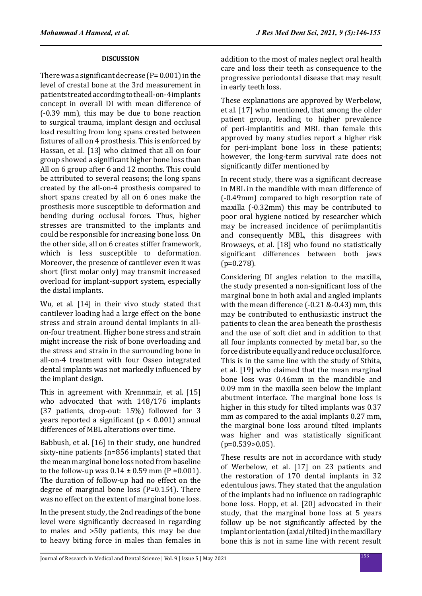## **DISCUSSION**

There was a significant decrease  $(P= 0.001)$  in the level of crestal bone at the 3rd measurement in patients treated according to the all-on-4 implants concept in overall DI with mean difference of (-0.39 mm), this may be due to bone reaction to surgical trauma, implant design and occlusal load resulting from long spans created between fixtures of all on 4 prosthesis. This is enforced by Hassan, et al. [13] who claimed that all on four group showed a significant higher bone loss than All on 6 group after 6 and 12 months. This could be attributed to several reasons; the long spans created by the all-on-4 prosthesis compared to short spans created by all on 6 ones make the prosthesis more susceptible to deformation and bending during occlusal forces. Thus, higher stresses are transmitted to the implants and could be responsible for increasing bone loss. On the other side, all on 6 creates stiffer framework, which is less susceptible to deformation. Moreover, the presence of cantilever even it was short (first molar only) may transmit increased overload for implant-support system, especially the distal implants.

Wu, et al. [14] in their vivo study stated that cantilever loading had a large effect on the bone stress and strain around dental implants in allon-four treatment. Higher bone stress and strain might increase the risk of bone overloading and the stress and strain in the surrounding bone in all-on-4 treatment with four Osseo integrated dental implants was not markedly influenced by the implant design.

This in agreement with Krennmair, et al. [15] who advocated that with 148/176 implants (37 patients, drop-out: 15%) followed for 3 years reported a significant (p < 0.001) annual differences of MBL alterations over time.

Babbush, et al. [16] in their study, one hundred sixty-nine patients (n=856 implants) stated that the mean marginal bone loss noted from baseline to the follow-up was  $0.14 \pm 0.59$  mm (P = 0.001). The duration of follow-up had no effect on the degree of marginal bone loss (P=0.154). There was no effect on the extent of marginal bone loss.

In the present study, the 2nd readings of the bone level were significantly decreased in regarding to males and >50y patients, this may be due to heavy biting force in males than females in addition to the most of males neglect oral health care and loss their teeth as consequence to the progressive periodontal disease that may result in early teeth loss.

These explanations are approved by Werbelow, et al. [17] who mentioned, that among the older patient group, leading to higher prevalence of peri-implantitis and MBL than female this approved by many studies report a higher risk for peri-implant bone loss in these patients; however, the long-term survival rate does not significantly differ mentioned by

In recent study, there was a significant decrease in MBL in the mandible with mean difference of (-0.49mm) compared to high resorption rate of maxilla (-0.32mm) this may be contributed to poor oral hygiene noticed by researcher which may be increased incidence of periimplantitis and consequently MBL, this disagrees with Browaeys, et al. [18] who found no statistically significant differences between both jaws  $(p=0.278)$ .

Considering DI angles relation to the maxilla, the study presented a non-significant loss of the marginal bone in both axial and angled implants with the mean difference (-0.21 &-0.43) mm, this may be contributed to enthusiastic instruct the patients to clean the area beneath the prosthesis and the use of soft diet and in addition to that all four implants connected by metal bar, so the force distribute equally and reduce occlusal force. This is in the same line with the study of Sthita, et al. [19] who claimed that the mean marginal bone loss was 0.46mm in the mandible and 0.09 mm in the maxilla seen below the implant abutment interface. The marginal bone loss is higher in this study for tilted implants was 0.37 mm as compared to the axial implants 0.27 mm, the marginal bone loss around tilted implants was higher and was statistically significant  $(p=0.539>0.05)$ .

These results are not in accordance with study of Werbelow, et al. [17] on 23 patients and the restoration of 170 dental implants in 32 edentulous jaws. They stated that the angulation of the implants had no influence on radiographic bone loss. Hopp, et al. [20] advocated in their study, that the marginal bone loss at 5 years follow up be not significantly affected by the implant orientation (axial/tilted) in the maxillary bone this is not in same line with recent result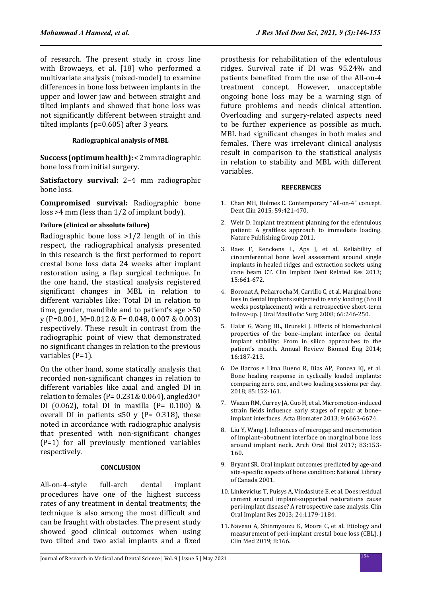of research. The present study in cross line with Browaeys, et al. [18] who performed a multivariate analysis (mixed-model) to examine differences in bone loss between implants in the upper and lower jaw and between straight and tilted implants and showed that bone loss was not significantly different between straight and tilted implants (p=0.605) after 3 years.

#### **Radiographical analysis of MBL**

**Success (optimum health):** < 2 mm radiographic bone loss from initial surgery.

**Satisfactory survival:** 2–4 mm radiographic bone loss.

**Compromised survival:** Radiographic bone loss >4 mm (less than 1/2 of implant body).

### **Failure (clinical or absolute failure)**

Radiographic bone loss >1/2 length of in this respect, the radiographical analysis presented in this research is the first performed to report crestal bone loss data 24 weeks after implant restoration using a flap surgical technique. In the one hand, the stastical analysis registered significant changes in MBL in relation to different variables like: Total DI in relation to time, gender, mandible and to patient's age >50 y (P=0.001, M=0.012 & F= 0.048, 0.007 & 0.003) respectively. These result in contrast from the radiographic point of view that demonstrated no significant changes in relation to the previous variables (P=1).

On the other hand, some statically analysis that recorded non-significant changes in relation to different variables like axial and angled DI in relation to females (P=  $0.231\& 0.064$ ), angled  $30\degree$ DI (0.062), total DI in maxilla (P=  $0.100$ ) & overall DI in patients ≤50 v ( $P = 0.318$ ), these noted in accordance with radiographic analysis that presented with non-significant changes (P=1) for all previously mentioned variables respectively.

#### **CONCLUSION**

All-on-4–style full-arch dental implant procedures have one of the highest success rates of any treatment in dental treatments; the technique is also among the most difficult and can be fraught with obstacles. The present study showed good clinical outcomes when using two tilted and two axial implants and a fixed prosthesis for rehabilitation of the edentulous ridges. Survival rate if DI was 95.24% and patients benefited from the use of the All-on-4 treatment concept. However, unacceptable ongoing bone loss may be a warning sign of future problems and needs clinical attention. Overloading and surgery-related aspects need to be further experience as possible as much. MBL had significant changes in both males and females. There was irrelevant clinical analysis result in comparison to the statistical analysis in relation to stability and MBL with different variables.

#### **REFERENCES**

- 1. Chan MH, Holmes C. Contemporary "All-on-4" concept. Dent Clin 2015; 59:421-470.
- 2. Weir D. Implant treatment planning for the edentulous patient: A graftless approach to immediate loading. Nature Publishing Group 2011.
- 3. Raes F, Renckens L, Aps J, et al. Reliability of circumferential bone level assessment around single implants in healed ridges and extraction sockets using cone beam CT. Clin Implant Dent Related Res 2013; 15:661-672.
- 4. Boronat A, Peñarrocha M, Carrillo C, et al. Marginal bone loss in dental implants subjected to early loading (6 to 8 weeks postplacement) with a retrospective short-term follow-up. J Oral Maxillofac Surg 2008; 66:246-250.
- 5. Haiat G, Wang HL, Brunski J. Effects of biomechanical properties of the bone–implant interface on dental implant stability: From in silico approaches to the patient's mouth. Annual Review Biomed Eng 2014; 16:187-213.
- 6. De Barros e Lima Bueno R, Dias AP, Poncea KJ, et al. Bone healing response in cyclically loaded implants: comparing zero, one, and two loading sessions per day. 2018; 85:152-161.
- 7. Wazen RM, Currey JA, Guo H, et al. Micromotion-induced strain fields influence early stages of repair at bone– implant interfaces. Acta Biomater 2013; 9:6663-6674.
- 8. Liu Y, Wang J. Influences of microgap and micromotion of implant–abutment interface on marginal bone loss around implant neck. Arch Oral Biol 2017; 83:153- 160.
- 9. Bryant SR. Oral implant outcomes predicted by age-and site-specific aspects of bone condition: National Library of Canada 2001.
- 10. Linkevicius T, Puisys A, Vindasiute E, et al. Does residual cement around implant-supported restorations cause peri-implant disease? A retrospective case analysis. Clin Oral Implant Res 2013; 24:1179-1184.
- 11. Naveau A, Shinmyouzu K, Moore C, et al. Etiology and measurement of peri-implant crestal bone loss (CBL). J Clin Med 2019; 8:166.